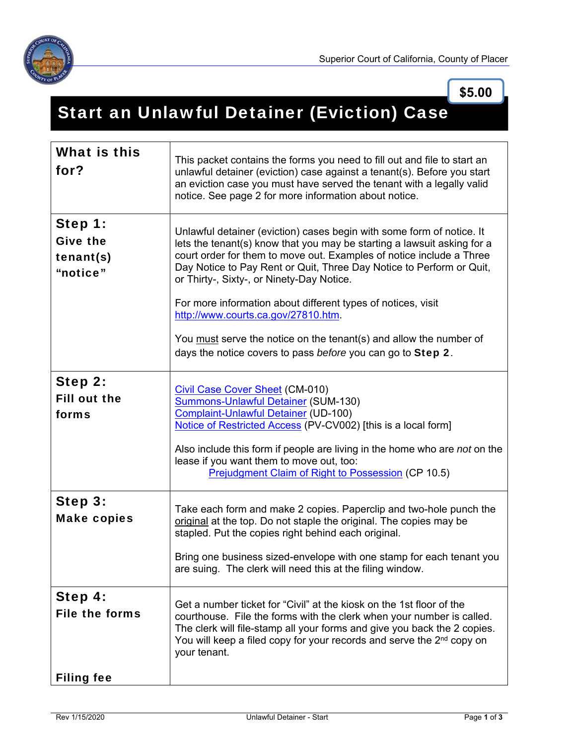

**\$5.00**

## Start an Unlawful Detainer (Eviction) Case

| What is this<br>for?                                  | This packet contains the forms you need to fill out and file to start an<br>unlawful detainer (eviction) case against a tenant(s). Before you start<br>an eviction case you must have served the tenant with a legally valid<br>notice. See page 2 for more information about notice.                                                                                                                                                                                                                                                                                                     |
|-------------------------------------------------------|-------------------------------------------------------------------------------------------------------------------------------------------------------------------------------------------------------------------------------------------------------------------------------------------------------------------------------------------------------------------------------------------------------------------------------------------------------------------------------------------------------------------------------------------------------------------------------------------|
| Step 1:<br><b>Give the</b><br>tenant(s)<br>"notice"   | Unlawful detainer (eviction) cases begin with some form of notice. It<br>lets the tenant(s) know that you may be starting a lawsuit asking for a<br>court order for them to move out. Examples of notice include a Three<br>Day Notice to Pay Rent or Quit, Three Day Notice to Perform or Quit,<br>or Thirty-, Sixty-, or Ninety-Day Notice.<br>For more information about different types of notices, visit<br>http://www.courts.ca.gov/27810.htm.<br>You must serve the notice on the tenant(s) and allow the number of<br>days the notice covers to pass before you can go to Step 2. |
| Step 2:<br><b>Fill out the</b><br>forms               | <b>Civil Case Cover Sheet (CM-010)</b><br><b>Summons-Unlawful Detainer (SUM-130)</b><br>Complaint-Unlawful Detainer (UD-100)<br>Notice of Restricted Access (PV-CV002) [this is a local form]<br>Also include this form if people are living in the home who are not on the<br>lease if you want them to move out, too:<br><b>Prejudgment Claim of Right to Possession (CP 10.5)</b>                                                                                                                                                                                                      |
| Step 3:<br><b>Make copies</b>                         | Take each form and make 2 copies. Paperclip and two-hole punch the<br>original at the top. Do not staple the original. The copies may be<br>stapled. Put the copies right behind each original.<br>Bring one business sized-envelope with one stamp for each tenant you<br>are suing. The clerk will need this at the filing window.                                                                                                                                                                                                                                                      |
| Step 4:<br><b>File the forms</b><br><b>Filing fee</b> | Get a number ticket for "Civil" at the kiosk on the 1st floor of the<br>courthouse. File the forms with the clerk when your number is called.<br>The clerk will file-stamp all your forms and give you back the 2 copies.<br>You will keep a filed copy for your records and serve the $2^{nd}$ copy on<br>your tenant.                                                                                                                                                                                                                                                                   |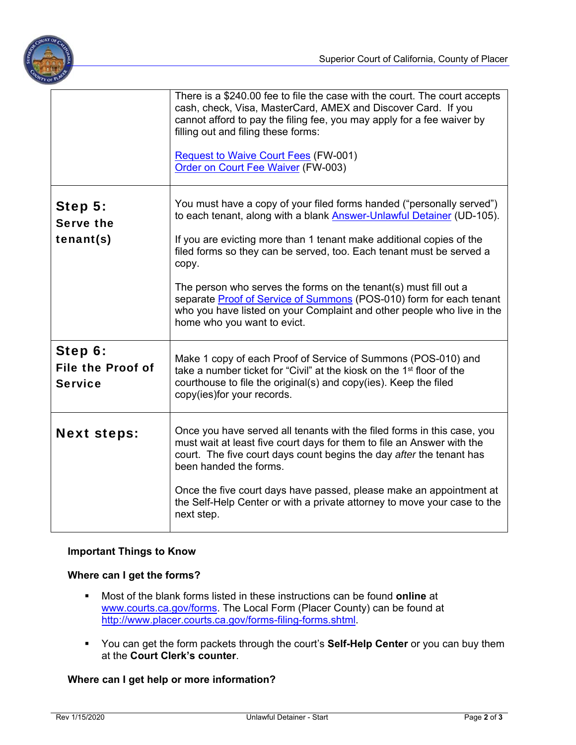

|                                                       | There is a \$240.00 fee to file the case with the court. The court accepts<br>cash, check, Visa, MasterCard, AMEX and Discover Card. If you<br>cannot afford to pay the filing fee, you may apply for a fee waiver by<br>filling out and filing these forms:<br><b>Request to Waive Court Fees (FW-001)</b><br>Order on Court Fee Waiver (FW-003)                                                                                                                                                                                                           |
|-------------------------------------------------------|-------------------------------------------------------------------------------------------------------------------------------------------------------------------------------------------------------------------------------------------------------------------------------------------------------------------------------------------------------------------------------------------------------------------------------------------------------------------------------------------------------------------------------------------------------------|
| Step 5:<br><b>Serve the</b><br>tenant(s)              | You must have a copy of your filed forms handed ("personally served")<br>to each tenant, along with a blank Answer-Unlawful Detainer (UD-105).<br>If you are evicting more than 1 tenant make additional copies of the<br>filed forms so they can be served, too. Each tenant must be served a<br>copy.<br>The person who serves the forms on the tenant(s) must fill out a<br>separate Proof of Service of Summons (POS-010) form for each tenant<br>who you have listed on your Complaint and other people who live in the<br>home who you want to evict. |
| Step 6:<br><b>File the Proof of</b><br><b>Service</b> | Make 1 copy of each Proof of Service of Summons (POS-010) and<br>take a number ticket for "Civil" at the kiosk on the 1 <sup>st</sup> floor of the<br>courthouse to file the original(s) and copy(ies). Keep the filed<br>copy(ies)for your records.                                                                                                                                                                                                                                                                                                        |
| <b>Next steps:</b>                                    | Once you have served all tenants with the filed forms in this case, you<br>must wait at least five court days for them to file an Answer with the<br>court. The five court days count begins the day after the tenant has<br>been handed the forms.<br>Once the five court days have passed, please make an appointment at<br>the Self-Help Center or with a private attorney to move your case to the<br>next step.                                                                                                                                        |

## **Important Things to Know**

## **Where can I get the forms?**

- Most of the blank forms listed in these instructions can be found **online** at www.courts.ca.gov/forms. The Local Form (Placer County) can be found at http://www.placer.courts.ca.gov/forms-filing-forms.shtml.
- You can get the form packets through the court's **Self-Help Center** or you can buy them at the **Court Clerk's counter**.

## **Where can I get help or more information?**